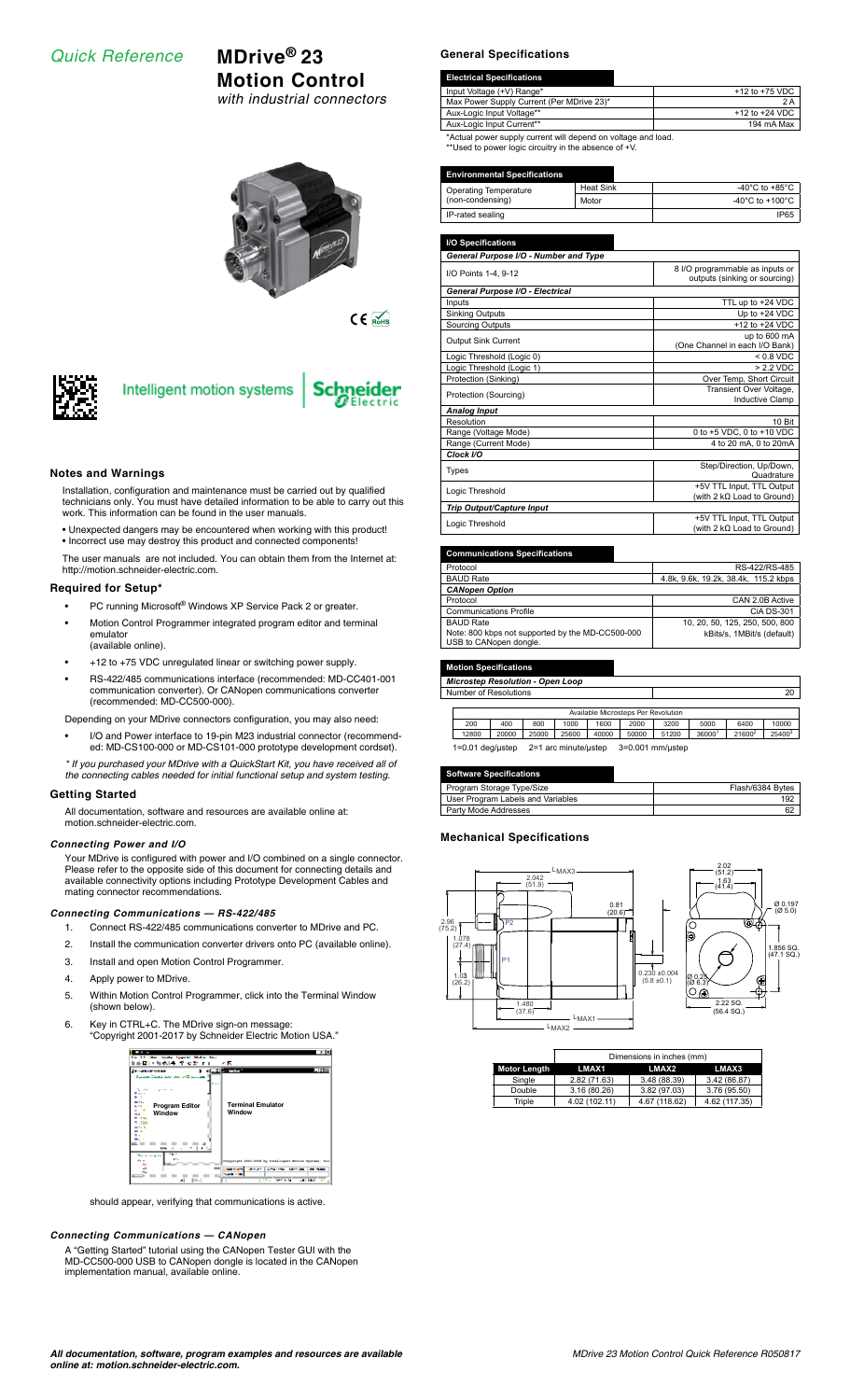## *Quick Reference* **MDrive® 23**

# **Motion Control**

*with industrial connectors*



 $C \in \overline{\mathbb{R}}$ 



# Intelligent motion systems



#### **Notes and Warnings**

Installation, configuration and maintenance must be carried out by qualified technicians only. You must have detailed information to be able to carry out this work. This information can be found in the user manuals.

• Unexpected dangers may be encountered when working with this product!

• Incorrect use may destroy this product and connected components! The user manuals are not included. You can obtain them from the Internet at: http://motion.schneider-electric.com.

#### **Required for Setup\***

- PC running Microsoft<sup>®</sup> Windows XP Service Pack 2 or greater.
- Motion Control Programmer integrated program editor and terminal emulator
- (available online).
- +12 to +75 VDC unregulated linear or switching power supply. • RS-422/485 communications interface (recommended: MD-CC401-001 communication converter). Or CANopen communications converter (recommended: MD-CC500-000).

Depending on your MDrive connectors configuration, you may also need:

- I/O and Power interface to 19-pin M23 industrial connector (recommended: MD-CS100-000 or MD-CS101-000 prototype development cordset).
- *\* If you purchased your MDrive with a QuickStart Kit, you have received all of the connecting cables needed for initial functional setup and system testing.*

### **Getting Started**

All documentation, software and resources are available online at: motion.schneider-electric.com.

#### *Connecting Power and I/O*

Your MDrive is configured with power and I/O combined on a single connector. Please refer to the opposite side of this document for connecting details and available connectivity options including Prototype Development Cables and mating connector recommendations.

#### *Connecting Communications — RS-422/485*

- 1. Connect RS-422/485 communications converter to MDrive and PC.
- 2. Install the communication converter drivers onto PC (available online).
- 3. Install and open Motion Control Programmer.
- 4. Apply power to MDrive.
- 5. Within Motion Control Programmer, click into the Terminal Window (shown below).
- 6. Key in CTRL+C. The MDrive sign-on message: "Copyright 2001-2017 by Schneider Electric Motion USA."



should appear, verifying that communications is active.

#### *Connecting Communications — CANopen*

A "Getting Started" tutorial using the CANopen Tester GUI with the MD-CC500-000 USB to CANopen dongle is located in the CANopen implementation manual, available online.

#### **General Specifications**

| <b>Electrical Specifications</b>                         |                    |
|----------------------------------------------------------|--------------------|
| Input Voltage (+V) Range*                                | $+12$ to $+75$ VDC |
| Max Power Supply Current (Per MDrive 23)*                | 2 A                |
| Aux-Logic Input Voltage**                                | $+12$ to $+24$ VDC |
| Aux-Logic Input Current**                                | 194 mA Max         |
| *Aetual soussanusku ouwestuüll desend es uskese esd leed |                    |

\*Actual power supply current will depend on voltage and load. \*\*Used to power logic circuitry in the absence of +V.

#### **Environmental Specifications**

| Operating Temperature | Heat Sink   | -40°C to +85°C  |
|-----------------------|-------------|-----------------|
| (non-condensing)      | Motor       | -40°C to +100°C |
| IP-rated sealing      | <b>IP65</b> |                 |

**I/O Specifications**

| General Purpose I/O - Number and Type |                                   |
|---------------------------------------|-----------------------------------|
| I/O Points 1-4, 9-12                  | 8 I/O programmable as inputs or   |
|                                       | outputs (sinking or sourcing)     |
| General Purpose I/O - Electrical      |                                   |
| Inputs                                | TTL up to +24 VDC                 |
| <b>Sinking Outputs</b>                | Up to +24 VDC                     |
| Sourcing Outputs                      | $+12$ to $+24$ VDC                |
| <b>Output Sink Current</b>            | up to 600 mA                      |
|                                       | (One Channel in each I/O Bank)    |
| Logic Threshold (Logic 0)             | $< 0.8$ VDC                       |
| Logic Threshold (Logic 1)             | > 2.2 VDC                         |
| Protection (Sinking)                  | Over Temp, Short Circuit          |
| Protection (Sourcing)                 | Transient Over Voltage,           |
|                                       | <b>Inductive Clamp</b>            |
| <b>Analog Input</b>                   |                                   |
| Resolution                            | 10 Bit                            |
| Range (Voltage Mode)                  | 0 to +5 VDC, 0 to +10 VDC         |
| Range (Current Mode)                  | 4 to 20 mA, 0 to 20mA             |
| Clock I/O                             |                                   |
|                                       | Step/Direction, Up/Down,          |
| <b>Types</b>                          | Quadrature                        |
| Logic Threshold                       | +5V TTL Input, TTL Output         |
|                                       | (with 2 kΩ Load to Ground)        |
| Trip Output/Capture Input             |                                   |
| Logic Threshold                       | +5V TTL Input, TTL Output         |
|                                       | (with 2 $k\Omega$ Load to Ground) |

#### **Communications Specifications**

| Protocol                                         | RS-422/RS-485                        |
|--------------------------------------------------|--------------------------------------|
| <b>BAUD Rate</b>                                 | 4.8k, 9.6k, 19.2k, 38.4k, 115.2 kbps |
| <b>CANopen Option</b>                            |                                      |
| Protocol                                         | CAN 2.0B Active                      |
| <b>Communications Profile</b>                    | CIA DS-301                           |
| <b>BAUD Rate</b>                                 | 10, 20, 50, 125, 250, 500, 800       |
| Note: 800 kbps not supported by the MD-CC500-000 | kBits/s, 1MBit/s (default)           |
| USB to CANopen dongle.                           |                                      |

#### **Motion Specifications**

| <b>Microstep Resolution - Open Loop</b>                          |       |       |       |       |       |       |        |        |        |
|------------------------------------------------------------------|-------|-------|-------|-------|-------|-------|--------|--------|--------|
| Number of Resolutions                                            |       |       |       |       |       |       |        | 20     |        |
|                                                                  |       |       |       |       |       |       |        |        |        |
| Available Microsteps Per Revolution                              |       |       |       |       |       |       |        |        |        |
| 200                                                              | 400   | 800   | 1000  | 1600  | 2000  | 3200  | 5000   | 6400   | 10000  |
| 12800                                                            | 20000 | 25000 | 25600 | 40000 | 50000 | 51200 | 360001 | 216002 | 254003 |
| 2=1 arc minute/ustep<br>$3=0.001$ mm/ustep<br>$1=0.01$ deg/ustep |       |       |       |       |       |       |        |        |        |

#### **Software Specifications**

| - - - - - - - - -                 |                  |
|-----------------------------------|------------------|
| Program Storage Type/Size         | Flash/6384 Bytes |
| User Program Labels and Variables | 192              |
| Party Mode Addresses              | 62               |

#### **Mechanical Specifications**



| - 11 |                     |               | Dimensions in inches (mm) |               |
|------|---------------------|---------------|---------------------------|---------------|
|      | <b>Motor Lenath</b> | LMAX1         | LMAX2                     | LMAX3         |
|      | Single              | 2.82 (71.63)  | 3.48 (88.39)              | 3.42 (86.87)  |
|      | Double              | 3.16 (80.26)  | 3.82 (97.03)              | 3.76 (95.50)  |
|      | Triple              | 4.02 (102.11) | 4.67 (118.62)             | 4.62 (117.35) |
|      |                     |               |                           |               |